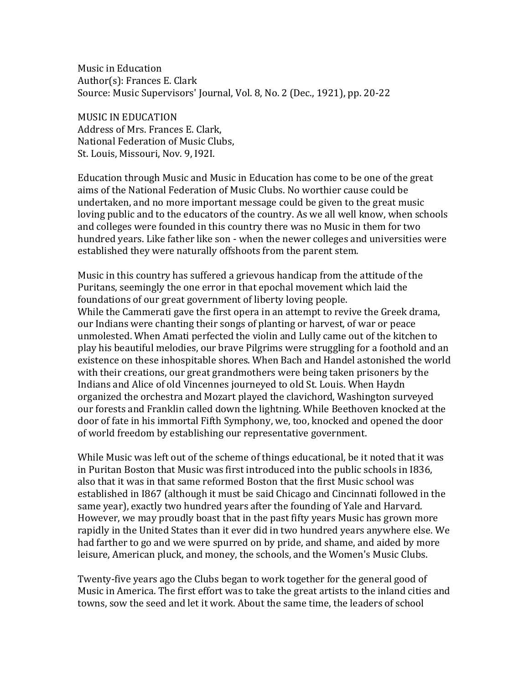Music in Education Author(s): Frances E. Clark Source: Music Supervisors' Journal, Vol. 8, No. 2 (Dec., 1921), pp. 20-22

MUSIC IN EDUCATION Address of Mrs. Frances E. Clark, National Federation of Music Clubs, St. Louis, Missouri, Nov. 9, I92I.

Education through Music and Music in Education has come to be one of the great aims of the National Federation of Music Clubs. No worthier cause could be undertaken, and no more important message could be given to the great music loving public and to the educators of the country. As we all well know, when schools and colleges were founded in this country there was no Music in them for two hundred years. Like father like son - when the newer colleges and universities were established they were naturally offshoots from the parent stem.

Music in this country has suffered a grievous handicap from the attitude of the Puritans, seemingly the one error in that epochal movement which laid the foundations of our great government of liberty loving people. While the Cammerati gave the first opera in an attempt to revive the Greek drama, our Indians were chanting their songs of planting or harvest, of war or peace unmolested. When Amati perfected the violin and Lully came out of the kitchen to play his beautiful melodies, our brave Pilgrims were struggling for a foothold and an existence on these inhospitable shores. When Bach and Handel astonished the world with their creations, our great grandmothers were being taken prisoners by the Indians and Alice of old Vincennes journeyed to old St. Louis. When Haydn organized the orchestra and Mozart played the clavichord, Washington surveyed our forests and Franklin called down the lightning. While Beethoven knocked at the door of fate in his immortal Fifth Symphony, we, too, knocked and opened the door of world freedom by establishing our representative government.

While Music was left out of the scheme of things educational, be it noted that it was in Puritan Boston that Music was first introduced into the public schools in I836, also that it was in that same reformed Boston that the first Music school was established in I867 (although it must be said Chicago and Cincinnati followed in the same year), exactly two hundred years after the founding of Yale and Harvard. However, we may proudly boast that in the past fifty years Music has grown more rapidly in the United States than it ever did in two hundred years anywhere else. We had farther to go and we were spurred on by pride, and shame, and aided by more leisure, American pluck, and money, the schools, and the Women's Music Clubs.

Twenty-five years ago the Clubs began to work together for the general good of Music in America. The first effort was to take the great artists to the inland cities and towns, sow the seed and let it work. About the same time, the leaders of school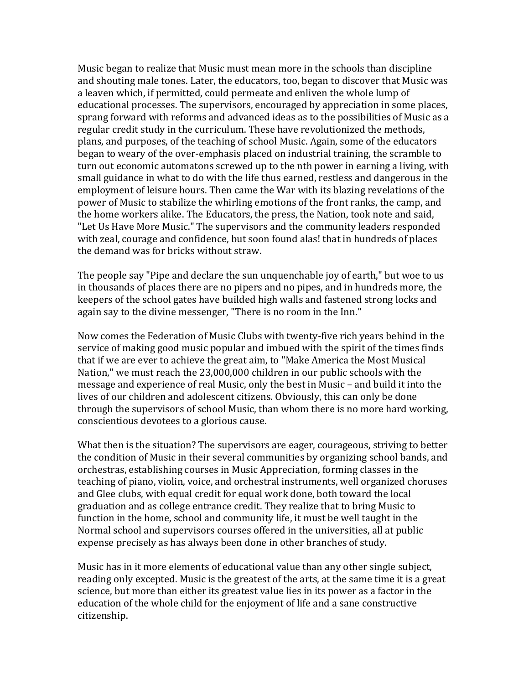Music began to realize that Music must mean more in the schools than discipline and shouting male tones. Later, the educators, too, began to discover that Music was a leaven which, if permitted, could permeate and enliven the whole lump of educational processes. The supervisors, encouraged by appreciation in some places, sprang forward with reforms and advanced ideas as to the possibilities of Music as a regular credit study in the curriculum. These have revolutionized the methods, plans, and purposes, of the teaching of school Music. Again, some of the educators began to weary of the over-emphasis placed on industrial training, the scramble to turn out economic automatons screwed up to the nth power in earning a living, with small guidance in what to do with the life thus earned, restless and dangerous in the employment of leisure hours. Then came the War with its blazing revelations of the power of Music to stabilize the whirling emotions of the front ranks, the camp, and the home workers alike. The Educators, the press, the Nation, took note and said, "Let Us Have More Music." The supervisors and the community leaders responded with zeal, courage and confidence, but soon found alas! that in hundreds of places the demand was for bricks without straw.

The people say "Pipe and declare the sun unquenchable joy of earth," but woe to us in thousands of places there are no pipers and no pipes, and in hundreds more, the keepers of the school gates have builded high walls and fastened strong locks and again say to the divine messenger, "There is no room in the Inn."

Now comes the Federation of Music Clubs with twenty-five rich years behind in the service of making good music popular and imbued with the spirit of the times finds that if we are ever to achieve the great aim, to "Make America the Most Musical Nation," we must reach the 23,000,000 children in our public schools with the message and experience of real Music, only the best in Music – and build it into the lives of our children and adolescent citizens. Obviously, this can only be done through the supervisors of school Music, than whom there is no more hard working, conscientious devotees to a glorious cause.

What then is the situation? The supervisors are eager, courageous, striving to better the condition of Music in their several communities by organizing school bands, and orchestras, establishing courses in Music Appreciation, forming classes in the teaching of piano, violin, voice, and orchestral instruments, well organized choruses and Glee clubs, with equal credit for equal work done, both toward the local graduation and as college entrance credit. They realize that to bring Music to function in the home, school and community life, it must be well taught in the Normal school and supervisors courses offered in the universities, all at public expense precisely as has always been done in other branches of study.

Music has in it more elements of educational value than any other single subject, reading only excepted. Music is the greatest of the arts, at the same time it is a great science, but more than either its greatest value lies in its power as a factor in the education of the whole child for the enjoyment of life and a sane constructive citizenship.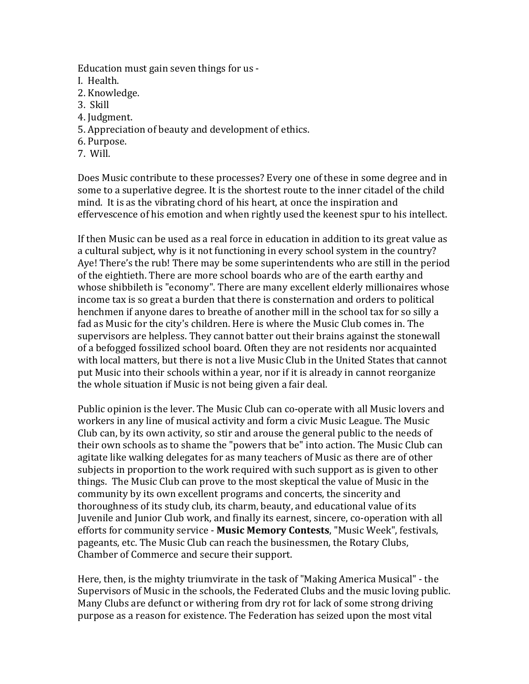Education must gain seven things for us -

- I. Health.
- 2. Knowledge.
- 3. Skill
- 4. Judgment.
- 5. Appreciation of beauty and development of ethics.
- 6. Purpose.
- 7. Will.

Does Music contribute to these processes? Every one of these in some degree and in some to a superlative degree. It is the shortest route to the inner citadel of the child mind. It is as the vibrating chord of his heart, at once the inspiration and effervescence of his emotion and when rightly used the keenest spur to his intellect.

If then Music can be used as a real force in education in addition to its great value as a cultural subject, why is it not functioning in every school system in the country? Aye! There's the rub! There may be some superintendents who are still in the period of the eightieth. There are more school boards who are of the earth earthy and whose shibbileth is "economy". There are many excellent elderly millionaires whose income tax is so great a burden that there is consternation and orders to political henchmen if anyone dares to breathe of another mill in the school tax for so silly a fad as Music for the city's children. Here is where the Music Club comes in. The supervisors are helpless. They cannot batter out their brains against the stonewall of a befogged fossilized school board. Often they are not residents nor acquainted with local matters, but there is not a live Music Club in the United States that cannot put Music into their schools within a year, nor if it is already in cannot reorganize the whole situation if Music is not being given a fair deal.

Public opinion is the lever. The Music Club can co-operate with all Music lovers and workers in any line of musical activity and form a civic Music League. The Music Club can, by its own activity, so stir and arouse the general public to the needs of their own schools as to shame the "powers that be" into action. The Music Club can agitate like walking delegates for as many teachers of Music as there are of other subjects in proportion to the work required with such support as is given to other things. The Music Club can prove to the most skeptical the value of Music in the community by its own excellent programs and concerts, the sincerity and thoroughness of its study club, its charm, beauty, and educational value of its Juvenile and Junior Club work, and finally its earnest, sincere, co-operation with all efforts for community service - **Music Memory Contests**, "Music Week", festivals, pageants, etc. The Music Club can reach the businessmen, the Rotary Clubs, Chamber of Commerce and secure their support.

Here, then, is the mighty triumvirate in the task of "Making America Musical" - the Supervisors of Music in the schools, the Federated Clubs and the music loving public. Many Clubs are defunct or withering from dry rot for lack of some strong driving purpose as a reason for existence. The Federation has seized upon the most vital